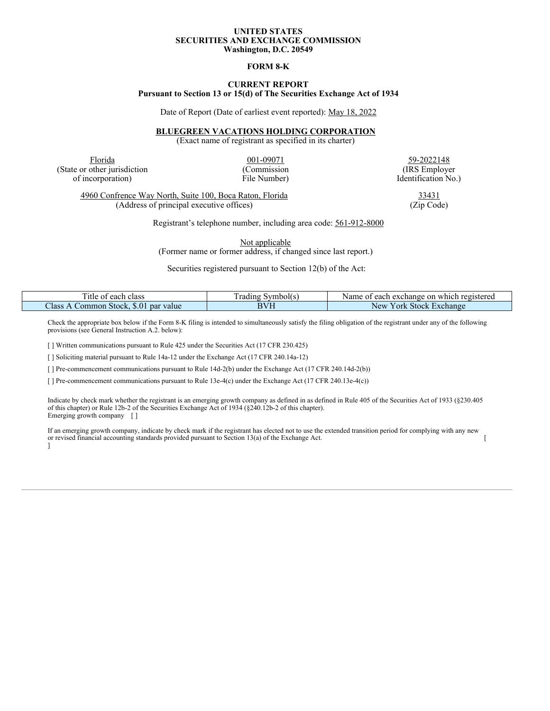#### **UNITED STATES SECURITIES AND EXCHANGE COMMISSION Washington, D.C. 20549**

#### **FORM 8-K**

### **CURRENT REPORT Pursuant to Section 13 or 15(d) of The Securities Exchange Act of 1934**

Date of Report (Date of earliest event reported): May 18, 2022

#### **BLUEGREEN VACATIONS HOLDING CORPORATION**

(Exact name of registrant as specified in its charter)

Florida 59-2022148 (State or other jurisdiction (Commission (Commission (IRS Employer of incorporation)  $\blacksquare$  (IRS Employer of incorporation)  $\blacksquare$ 

Identification No.)

4960 Confrence Way North, Suite 100, Boca Raton, Florida 33431<br>(Address of principal executive offices) (Zip Code) (Address of principal executive offices)

Registrant's telephone number, including area code: 561-912-8000

Not applicable

(Former name or former address, if changed since last report.)

Securities registered pursuant to Section 12(b) of the Act:

| T.<br>`itle<br>class<br>each o<br>01            | symbol(s<br>rading | which registered<br>Name<br>. or<br>each exchange<br>$\Omega$ |
|-------------------------------------------------|--------------------|---------------------------------------------------------------|
| Class<br>\$.01<br>value<br>∴ommon Stock.<br>par | DVII<br>-11        | ork<br>Stock.<br>Exchange<br>New                              |

Check the appropriate box below if the Form 8-K filing is intended to simultaneously satisfy the filing obligation of the registrant under any of the following provisions (see General Instruction A.2. below):

[ ] Written communications pursuant to Rule 425 under the Securities Act (17 CFR 230.425)

[ ] Soliciting material pursuant to Rule 14a-12 under the Exchange Act (17 CFR 240.14a-12)

[ ] Pre-commencement communications pursuant to Rule 14d-2(b) under the Exchange Act (17 CFR 240.14d-2(b))

[ ] Pre-commencement communications pursuant to Rule 13e-4(c) under the Exchange Act (17 CFR 240.13e-4(c))

Indicate by check mark whether the registrant is an emerging growth company as defined in as defined in Rule 405 of the Securities Act of 1933 (§230.405 of this chapter) or Rule 12b-2 of the Securities Exchange Act of 1934 (§240.12b-2 of this chapter). Emerging growth company [ ]

If an emerging growth company, indicate by check mark if the registrant has elected not to use the extended transition period for complying with any new or revised financial accounting standards provided pursuant to Section 13(a) of the Exchange Act. [ ]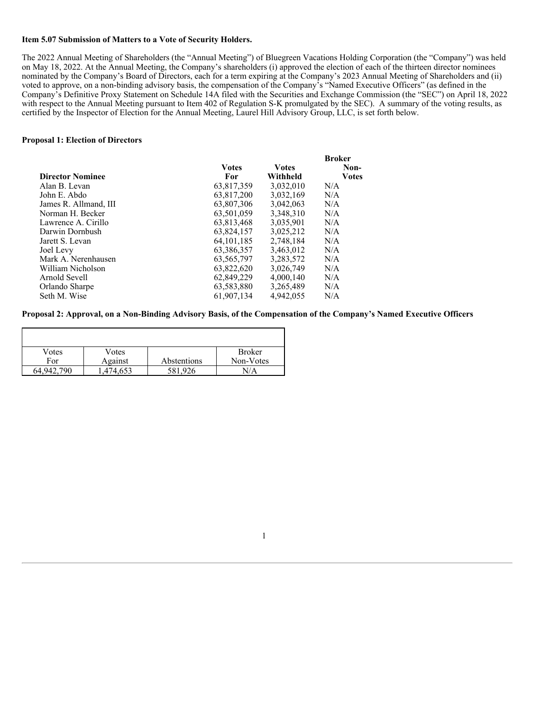## **Item 5.07 Submission of Matters to a Vote of Security Holders.**

The 2022 Annual Meeting of Shareholders (the "Annual Meeting") of Bluegreen Vacations Holding Corporation (the "Company") was held on May 18, 2022. At the Annual Meeting, the Company's shareholders (i) approved the election of each of the thirteen director nominees nominated by the Company's Board of Directors, each for a term expiring at the Company's 2023 Annual Meeting of Shareholders and (ii) voted to approve, on a non-binding advisory basis, the compensation of the Company's "Named Executive Officers" (as defined in the Company's Definitive Proxy Statement on Schedule 14A filed with the Securities and Exchange Commission (the "SEC") on April 18, 2022 with respect to the Annual Meeting pursuant to Item 402 of Regulation S-K promulgated by the SEC). A summary of the voting results, as certified by the Inspector of Election for the Annual Meeting, Laurel Hill Advisory Group, LLC, is set forth below.

### **Proposal 1: Election of Directors**

|               |               | <b>Broker</b> |
|---------------|---------------|---------------|
| <b>V</b> otes | <b>V</b> otes | Non-          |
| For           | Withheld      | <b>Votes</b>  |
| 63,817,359    | 3,032,010     | N/A           |
| 63,817,200    | 3,032,169     | N/A           |
| 63,807,306    | 3.042.063     | N/A           |
| 63.501.059    | 3.348.310     | N/A           |
| 63.813.468    | 3.035.901     | N/A           |
| 63,824,157    | 3,025,212     | N/A           |
| 64.101.185    | 2.748.184     | N/A           |
| 63,386,357    | 3,463,012     | N/A           |
| 63,565,797    | 3,283,572     | N/A           |
| 63.822.620    | 3.026.749     | N/A           |
| 62,849,229    | 4,000,140     | N/A           |
| 63,583,880    | 3,265,489     | N/A           |
| 61.907.134    | 4.942,055     | N/A           |
|               |               |               |

### Proposal 2: Approval, on a Non-Binding Advisory Basis, of the Compensation of the Company's Named Executive Officers

| Votes         | Votes    |             | <b>Broker</b> |
|---------------|----------|-------------|---------------|
| For           | Against  | Abstentions | Non-Votes     |
| 790<br>64.942 | .474.653 | 581,926     | N/A           |